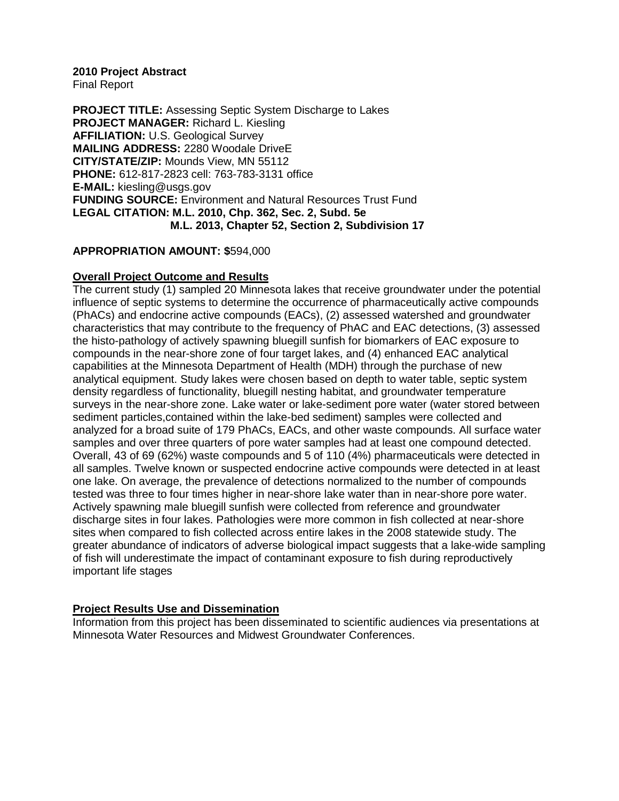#### **2010 Project Abstract**

Final Report

**PROJECT TITLE:** Assessing Septic System Discharge to Lakes **PROJECT MANAGER:** Richard L. Kiesling **AFFILIATION:** U.S. Geological Survey **MAILING ADDRESS:** 2280 Woodale DriveE **CITY/STATE/ZIP:** Mounds View, MN 55112 **PHONE:** 612-817-2823 cell: 763-783-3131 office **E-MAIL:** kiesling@usgs.gov **FUNDING SOURCE:** Environment and Natural Resources Trust Fund **LEGAL CITATION: M.L. 2010, Chp. 362, Sec. 2, Subd. 5e M.L. 2013, Chapter 52, Section 2, Subdivision 17**

#### **APPROPRIATION AMOUNT: \$**594,000

#### **Overall Project Outcome and Results**

The current study (1) sampled 20 Minnesota lakes that receive groundwater under the potential influence of septic systems to determine the occurrence of pharmaceutically active compounds (PhACs) and endocrine active compounds (EACs), (2) assessed watershed and groundwater characteristics that may contribute to the frequency of PhAC and EAC detections, (3) assessed the histo-pathology of actively spawning bluegill sunfish for biomarkers of EAC exposure to compounds in the near-shore zone of four target lakes, and (4) enhanced EAC analytical capabilities at the Minnesota Department of Health (MDH) through the purchase of new analytical equipment. Study lakes were chosen based on depth to water table, septic system density regardless of functionality, bluegill nesting habitat, and groundwater temperature surveys in the near-shore zone. Lake water or lake-sediment pore water (water stored between sediment particles,contained within the lake-bed sediment) samples were collected and analyzed for a broad suite of 179 PhACs, EACs, and other waste compounds. All surface water samples and over three quarters of pore water samples had at least one compound detected. Overall, 43 of 69 (62%) waste compounds and 5 of 110 (4%) pharmaceuticals were detected in all samples. Twelve known or suspected endocrine active compounds were detected in at least one lake. On average, the prevalence of detections normalized to the number of compounds tested was three to four times higher in near-shore lake water than in near-shore pore water. Actively spawning male bluegill sunfish were collected from reference and groundwater discharge sites in four lakes. Pathologies were more common in fish collected at near-shore sites when compared to fish collected across entire lakes in the 2008 statewide study. The greater abundance of indicators of adverse biological impact suggests that a lake-wide sampling of fish will underestimate the impact of contaminant exposure to fish during reproductively important life stages

### **Project Results Use and Dissemination**

Information from this project has been disseminated to scientific audiences via presentations at Minnesota Water Resources and Midwest Groundwater Conferences.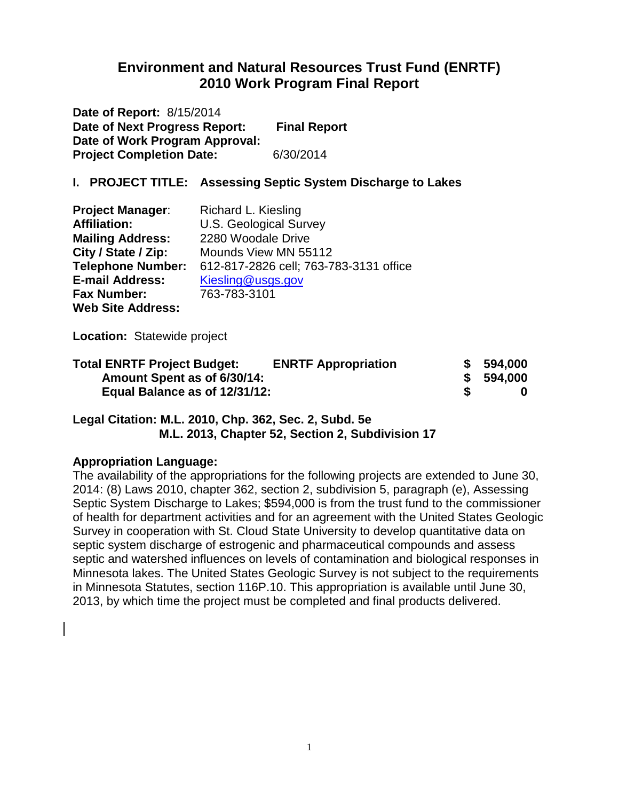# **Environment and Natural Resources Trust Fund (ENRTF) 2010 Work Program Final Report**

**Date of Report:** 8/15/2014 **Date of Next Progress Report: Final Report Date of Work Program Approval: Project Completion Date:** 6/30/2014

### **I. PROJECT TITLE: Assessing Septic System Discharge to Lakes**

| <b>Project Manager:</b>  | Richard L. Kiesling                    |
|--------------------------|----------------------------------------|
| <b>Affiliation:</b>      | <b>U.S. Geological Survey</b>          |
| <b>Mailing Address:</b>  | 2280 Woodale Drive                     |
| City / State / Zip:      | Mounds View MN 55112                   |
| <b>Telephone Number:</b> | 612-817-2826 cell; 763-783-3131 office |
| <b>E-mail Address:</b>   | Kiesling@usgs.gov                      |
| <b>Fax Number:</b>       | 763-783-3101                           |
| <b>Web Site Address:</b> |                                        |

**Location:** Statewide project

| <b>Total ENRTF Project Budget:</b> | <b>ENRTF Appropriation</b> |   | \$594,000 |
|------------------------------------|----------------------------|---|-----------|
| Amount Spent as of 6/30/14:        |                            |   | \$594,000 |
| Equal Balance as of 12/31/12:      |                            | S |           |

#### **Legal Citation: M.L. 2010, Chp. 362, Sec. 2, Subd. 5e M.L. 2013, Chapter 52, Section 2, Subdivision 17**

### **Appropriation Language:**

The availability of the appropriations for the following projects are extended to June 30, 2014: (8) Laws 2010, chapter 362, section 2, subdivision 5, paragraph (e), Assessing Septic System Discharge to Lakes; \$594,000 is from the trust fund to the commissioner of health for department activities and for an agreement with the United States Geologic Survey in cooperation with St. Cloud State University to develop quantitative data on septic system discharge of estrogenic and pharmaceutical compounds and assess septic and watershed influences on levels of contamination and biological responses in Minnesota lakes. The United States Geologic Survey is not subject to the requirements in Minnesota Statutes, section 116P.10. This appropriation is available until June 30, 2013, by which time the project must be completed and final products delivered.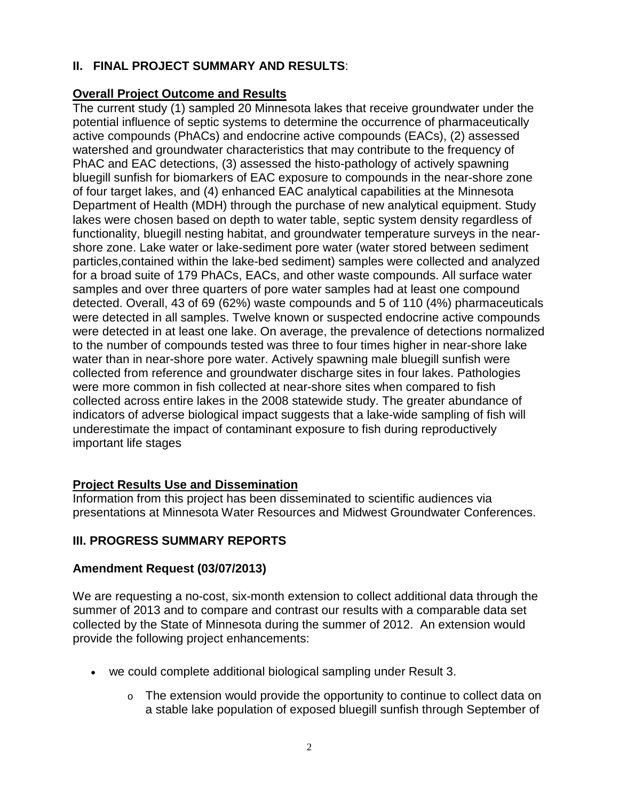# **II. FINAL PROJECT SUMMARY AND RESULTS**:

## **Overall Project Outcome and Results**

The current study (1) sampled 20 Minnesota lakes that receive groundwater under the potential influence of septic systems to determine the occurrence of pharmaceutically active compounds (PhACs) and endocrine active compounds (EACs), (2) assessed watershed and groundwater characteristics that may contribute to the frequency of PhAC and EAC detections, (3) assessed the histo-pathology of actively spawning bluegill sunfish for biomarkers of EAC exposure to compounds in the near-shore zone of four target lakes, and (4) enhanced EAC analytical capabilities at the Minnesota Department of Health (MDH) through the purchase of new analytical equipment. Study lakes were chosen based on depth to water table, septic system density regardless of functionality, bluegill nesting habitat, and groundwater temperature surveys in the nearshore zone. Lake water or lake-sediment pore water (water stored between sediment particles,contained within the lake-bed sediment) samples were collected and analyzed for a broad suite of 179 PhACs, EACs, and other waste compounds. All surface water samples and over three quarters of pore water samples had at least one compound detected. Overall, 43 of 69 (62%) waste compounds and 5 of 110 (4%) pharmaceuticals were detected in all samples. Twelve known or suspected endocrine active compounds were detected in at least one lake. On average, the prevalence of detections normalized to the number of compounds tested was three to four times higher in near-shore lake water than in near-shore pore water. Actively spawning male bluegill sunfish were collected from reference and groundwater discharge sites in four lakes. Pathologies were more common in fish collected at near-shore sites when compared to fish collected across entire lakes in the 2008 statewide study. The greater abundance of indicators of adverse biological impact suggests that a lake-wide sampling of fish will underestimate the impact of contaminant exposure to fish during reproductively important life stages

## **Project Results Use and Dissemination**

Information from this project has been disseminated to scientific audiences via presentations at Minnesota Water Resources and Midwest Groundwater Conferences.

## **III. PROGRESS SUMMARY REPORTS**

### **Amendment Request (03/07/2013)**

We are requesting a no-cost, six-month extension to collect additional data through the summer of 2013 and to compare and contrast our results with a comparable data set collected by the State of Minnesota during the summer of 2012. An extension would provide the following project enhancements:

- we could complete additional biological sampling under Result 3.
	- o The extension would provide the opportunity to continue to collect data on a stable lake population of exposed bluegill sunfish through September of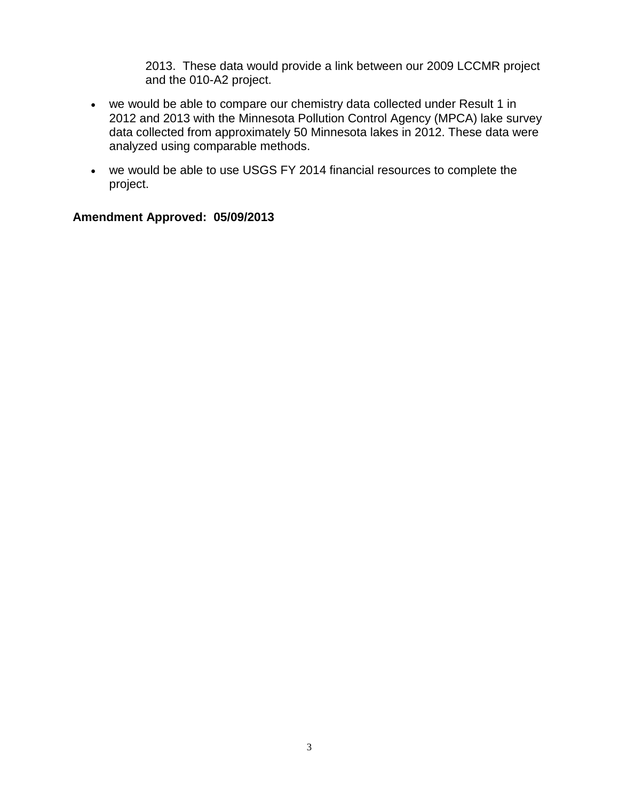2013. These data would provide a link between our 2009 LCCMR project and the 010-A2 project.

- we would be able to compare our chemistry data collected under Result 1 in 2012 and 2013 with the Minnesota Pollution Control Agency (MPCA) lake survey data collected from approximately 50 Minnesota lakes in 2012. These data were analyzed using comparable methods.
- we would be able to use USGS FY 2014 financial resources to complete the project.

#### **Amendment Approved: 05/09/2013**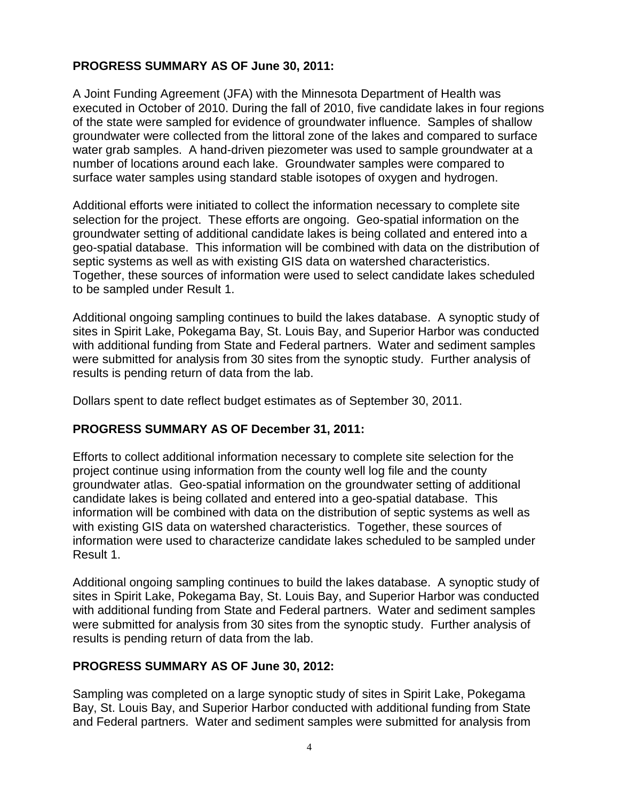## **PROGRESS SUMMARY AS OF June 30, 2011:**

A Joint Funding Agreement (JFA) with the Minnesota Department of Health was executed in October of 2010. During the fall of 2010, five candidate lakes in four regions of the state were sampled for evidence of groundwater influence. Samples of shallow groundwater were collected from the littoral zone of the lakes and compared to surface water grab samples. A hand-driven piezometer was used to sample groundwater at a number of locations around each lake. Groundwater samples were compared to surface water samples using standard stable isotopes of oxygen and hydrogen.

Additional efforts were initiated to collect the information necessary to complete site selection for the project. These efforts are ongoing. Geo-spatial information on the groundwater setting of additional candidate lakes is being collated and entered into a geo-spatial database. This information will be combined with data on the distribution of septic systems as well as with existing GIS data on watershed characteristics. Together, these sources of information were used to select candidate lakes scheduled to be sampled under Result 1.

Additional ongoing sampling continues to build the lakes database. A synoptic study of sites in Spirit Lake, Pokegama Bay, St. Louis Bay, and Superior Harbor was conducted with additional funding from State and Federal partners. Water and sediment samples were submitted for analysis from 30 sites from the synoptic study. Further analysis of results is pending return of data from the lab.

Dollars spent to date reflect budget estimates as of September 30, 2011.

### **PROGRESS SUMMARY AS OF December 31, 2011:**

Efforts to collect additional information necessary to complete site selection for the project continue using information from the county well log file and the county groundwater atlas. Geo-spatial information on the groundwater setting of additional candidate lakes is being collated and entered into a geo-spatial database. This information will be combined with data on the distribution of septic systems as well as with existing GIS data on watershed characteristics. Together, these sources of information were used to characterize candidate lakes scheduled to be sampled under Result 1.

Additional ongoing sampling continues to build the lakes database. A synoptic study of sites in Spirit Lake, Pokegama Bay, St. Louis Bay, and Superior Harbor was conducted with additional funding from State and Federal partners. Water and sediment samples were submitted for analysis from 30 sites from the synoptic study. Further analysis of results is pending return of data from the lab.

### **PROGRESS SUMMARY AS OF June 30, 2012:**

Sampling was completed on a large synoptic study of sites in Spirit Lake, Pokegama Bay, St. Louis Bay, and Superior Harbor conducted with additional funding from State and Federal partners. Water and sediment samples were submitted for analysis from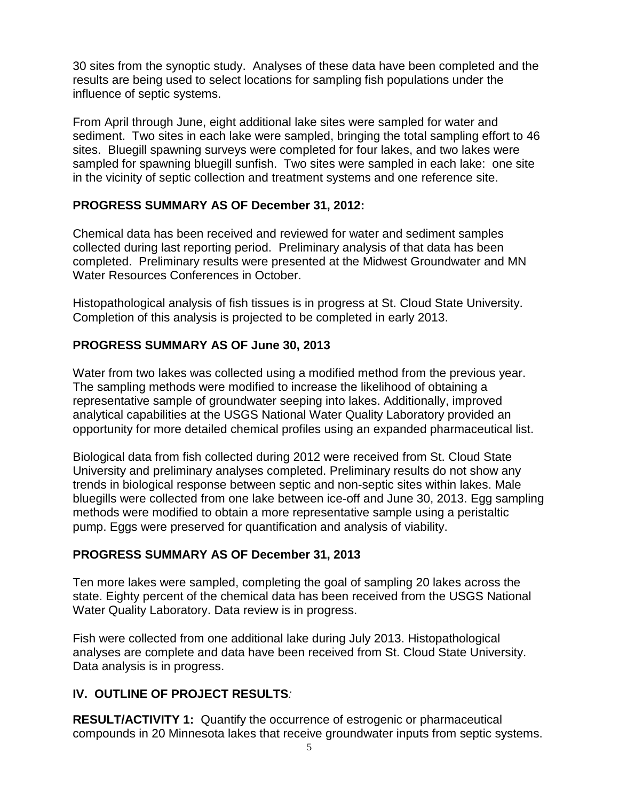30 sites from the synoptic study. Analyses of these data have been completed and the results are being used to select locations for sampling fish populations under the influence of septic systems.

From April through June, eight additional lake sites were sampled for water and sediment. Two sites in each lake were sampled, bringing the total sampling effort to 46 sites. Bluegill spawning surveys were completed for four lakes, and two lakes were sampled for spawning bluegill sunfish. Two sites were sampled in each lake: one site in the vicinity of septic collection and treatment systems and one reference site.

## **PROGRESS SUMMARY AS OF December 31, 2012:**

Chemical data has been received and reviewed for water and sediment samples collected during last reporting period. Preliminary analysis of that data has been completed. Preliminary results were presented at the Midwest Groundwater and MN Water Resources Conferences in October.

Histopathological analysis of fish tissues is in progress at St. Cloud State University. Completion of this analysis is projected to be completed in early 2013.

# **PROGRESS SUMMARY AS OF June 30, 2013**

Water from two lakes was collected using a modified method from the previous year. The sampling methods were modified to increase the likelihood of obtaining a representative sample of groundwater seeping into lakes. Additionally, improved analytical capabilities at the USGS National Water Quality Laboratory provided an opportunity for more detailed chemical profiles using an expanded pharmaceutical list.

Biological data from fish collected during 2012 were received from St. Cloud State University and preliminary analyses completed. Preliminary results do not show any trends in biological response between septic and non-septic sites within lakes. Male bluegills were collected from one lake between ice-off and June 30, 2013. Egg sampling methods were modified to obtain a more representative sample using a peristaltic pump. Eggs were preserved for quantification and analysis of viability.

# **PROGRESS SUMMARY AS OF December 31, 2013**

Ten more lakes were sampled, completing the goal of sampling 20 lakes across the state. Eighty percent of the chemical data has been received from the USGS National Water Quality Laboratory. Data review is in progress.

Fish were collected from one additional lake during July 2013. Histopathological analyses are complete and data have been received from St. Cloud State University. Data analysis is in progress.

# **IV. OUTLINE OF PROJECT RESULTS***:*

**RESULT/ACTIVITY 1:** Quantify the occurrence of estrogenic or pharmaceutical compounds in 20 Minnesota lakes that receive groundwater inputs from septic systems.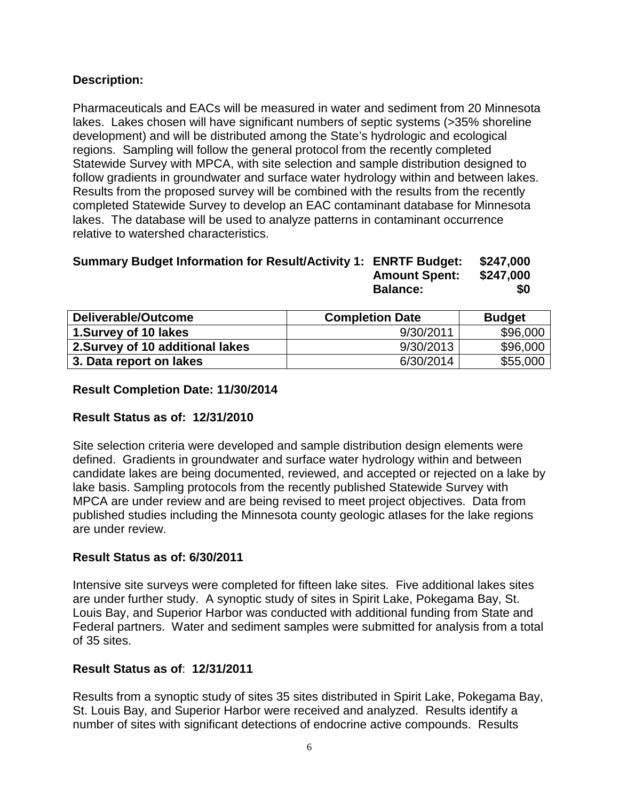## **Description:**

Pharmaceuticals and EACs will be measured in water and sediment from 20 Minnesota lakes. Lakes chosen will have significant numbers of septic systems (>35% shoreline development) and will be distributed among the State's hydrologic and ecological regions. Sampling will follow the general protocol from the recently completed Statewide Survey with MPCA, with site selection and sample distribution designed to follow gradients in groundwater and surface water hydrology within and between lakes. Results from the proposed survey will be combined with the results from the recently completed Statewide Survey to develop an EAC contaminant database for Minnesota lakes. The database will be used to analyze patterns in contaminant occurrence relative to watershed characteristics.

#### **Summary Budget Information for Result/Activity 1: ENRTF Budget: \$247,000 Amount Spent: \$247,000 Balance:** \$0

| Deliverable/Outcome              | <b>Completion Date</b> | <b>Budget</b> |
|----------------------------------|------------------------|---------------|
| 1.Survey of 10 lakes             | 9/30/2011              | \$96,000      |
| 2. Survey of 10 additional lakes | 9/30/2013              | \$96,000      |
| 3. Data report on lakes          | 6/30/2014              | \$55,000      |

## **Result Completion Date: 11/30/2014**

## **Result Status as of: 12/31/2010**

Site selection criteria were developed and sample distribution design elements were defined. Gradients in groundwater and surface water hydrology within and between candidate lakes are being documented, reviewed, and accepted or rejected on a lake by lake basis. Sampling protocols from the recently published Statewide Survey with MPCA are under review and are being revised to meet project objectives. Data from published studies including the Minnesota county geologic atlases for the lake regions are under review.

## **Result Status as of: 6/30/2011**

Intensive site surveys were completed for fifteen lake sites. Five additional lakes sites are under further study. A synoptic study of sites in Spirit Lake, Pokegama Bay, St. Louis Bay, and Superior Harbor was conducted with additional funding from State and Federal partners. Water and sediment samples were submitted for analysis from a total of 35 sites.

## **Result Status as of**: **12/31/2011**

Results from a synoptic study of sites 35 sites distributed in Spirit Lake, Pokegama Bay, St. Louis Bay, and Superior Harbor were received and analyzed. Results identify a number of sites with significant detections of endocrine active compounds. Results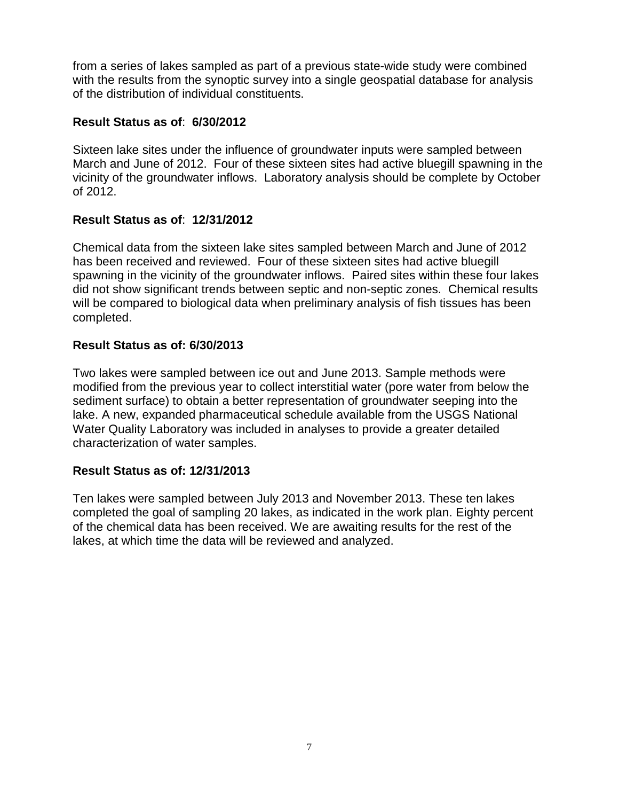from a series of lakes sampled as part of a previous state-wide study were combined with the results from the synoptic survey into a single geospatial database for analysis of the distribution of individual constituents.

### **Result Status as of**: **6/30/2012**

Sixteen lake sites under the influence of groundwater inputs were sampled between March and June of 2012. Four of these sixteen sites had active bluegill spawning in the vicinity of the groundwater inflows. Laboratory analysis should be complete by October of 2012.

### **Result Status as of**: **12/31/2012**

Chemical data from the sixteen lake sites sampled between March and June of 2012 has been received and reviewed. Four of these sixteen sites had active bluegill spawning in the vicinity of the groundwater inflows. Paired sites within these four lakes did not show significant trends between septic and non-septic zones. Chemical results will be compared to biological data when preliminary analysis of fish tissues has been completed.

### **Result Status as of: 6/30/2013**

Two lakes were sampled between ice out and June 2013. Sample methods were modified from the previous year to collect interstitial water (pore water from below the sediment surface) to obtain a better representation of groundwater seeping into the lake. A new, expanded pharmaceutical schedule available from the USGS National Water Quality Laboratory was included in analyses to provide a greater detailed characterization of water samples.

### **Result Status as of: 12/31/2013**

Ten lakes were sampled between July 2013 and November 2013. These ten lakes completed the goal of sampling 20 lakes, as indicated in the work plan. Eighty percent of the chemical data has been received. We are awaiting results for the rest of the lakes, at which time the data will be reviewed and analyzed.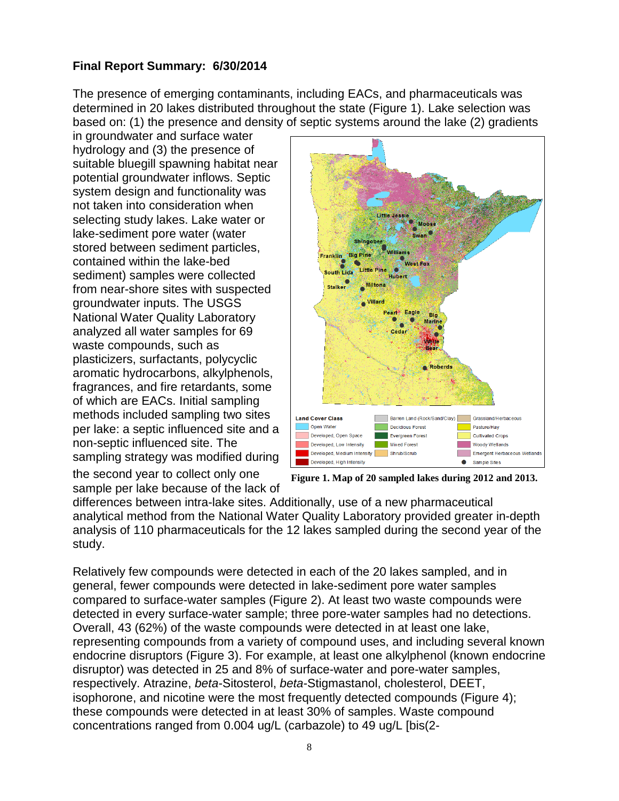# **Final Report Summary: 6/30/2014**

The presence of emerging contaminants, including EACs, and pharmaceuticals was determined in 20 lakes distributed throughout the state (Figure 1). Lake selection was based on: (1) the presence and density of septic systems around the lake (2) gradients

in groundwater and surface water hydrology and (3) the presence of suitable bluegill spawning habitat near potential groundwater inflows. Septic system design and functionality was not taken into consideration when selecting study lakes. Lake water or lake-sediment pore water (water stored between sediment particles, contained within the lake-bed sediment) samples were collected from near-shore sites with suspected groundwater inputs. The USGS National Water Quality Laboratory analyzed all water samples for 69 waste compounds, such as plasticizers, surfactants, polycyclic aromatic hydrocarbons, alkylphenols, fragrances, and fire retardants, some of which are EACs. Initial sampling methods included sampling two sites per lake: a septic influenced site and a non-septic influenced site. The sampling strategy was modified during



the second year to collect only one sample per lake because of the lack of

**Figure 1. Map of 20 sampled lakes during 2012 and 2013.**

differences between intra-lake sites. Additionally, use of a new pharmaceutical analytical method from the National Water Quality Laboratory provided greater in-depth analysis of 110 pharmaceuticals for the 12 lakes sampled during the second year of the study.

Relatively few compounds were detected in each of the 20 lakes sampled, and in general, fewer compounds were detected in lake-sediment pore water samples compared to surface-water samples (Figure 2). At least two waste compounds were detected in every surface-water sample; three pore-water samples had no detections. Overall, 43 (62%) of the waste compounds were detected in at least one lake, representing compounds from a variety of compound uses, and including several known endocrine disruptors (Figure 3). For example, at least one alkylphenol (known endocrine disruptor) was detected in 25 and 8% of surface-water and pore-water samples, respectively. Atrazine, *beta*-Sitosterol, *beta*-Stigmastanol, cholesterol, DEET, isophorone, and nicotine were the most frequently detected compounds (Figure 4); these compounds were detected in at least 30% of samples. Waste compound concentrations ranged from 0.004 ug/L (carbazole) to 49 ug/L [bis(2-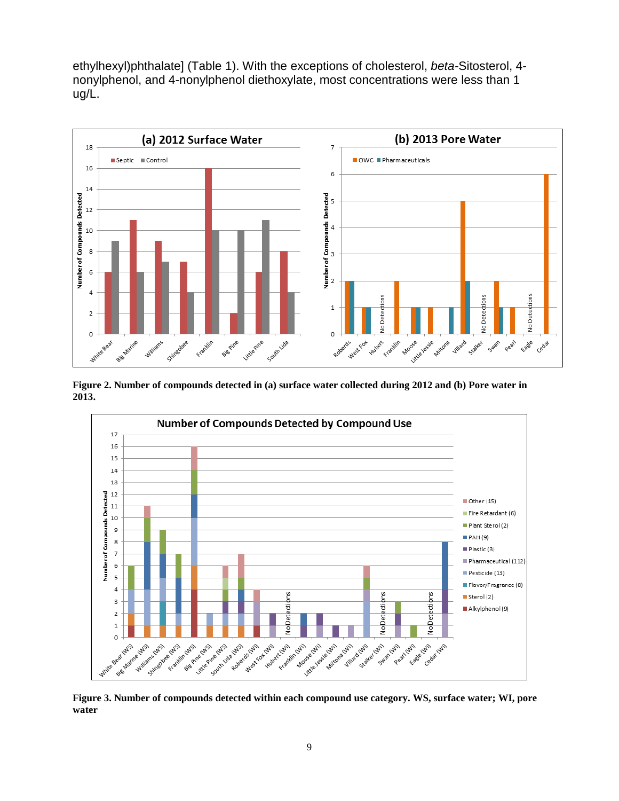ethylhexyl)phthalate] (Table 1). With the exceptions of cholesterol, *beta-*Sitosterol, 4 nonylphenol, and 4-nonylphenol diethoxylate, most concentrations were less than 1 ug/L.



**Figure 2. Number of compounds detected in (a) surface water collected during 2012 and (b) Pore water in 2013.**



**Figure 3. Number of compounds detected within each compound use category. WS, surface water; WI, pore water**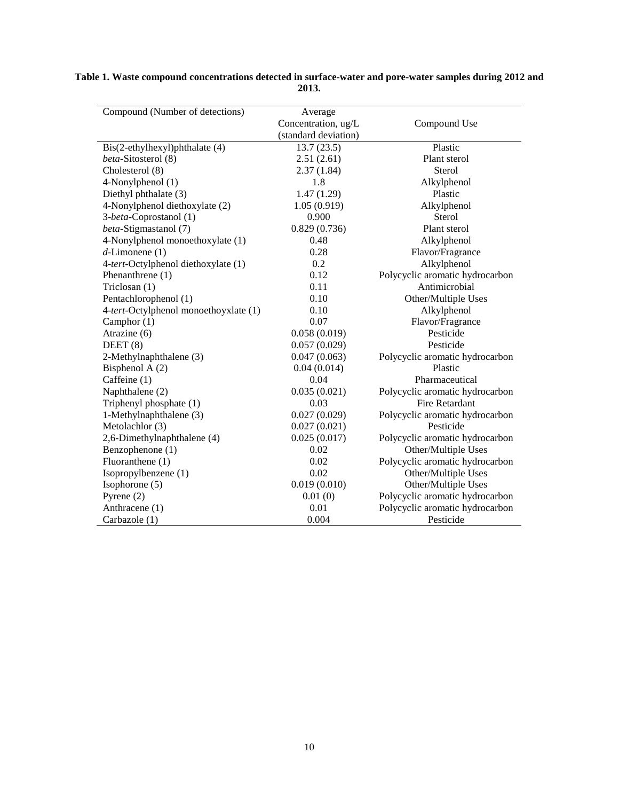| Compound (Number of detections)       | Average              |                                 |
|---------------------------------------|----------------------|---------------------------------|
|                                       | Concentration, ug/L  | Compound Use                    |
|                                       | (standard deviation) |                                 |
| Bis(2-ethylhexyl)phthalate (4)        | 13.7(23.5)           | Plastic                         |
| beta-Sitosterol (8)                   | 2.51(2.61)           | Plant sterol                    |
| Cholesterol (8)                       | 2.37(1.84)           | Sterol                          |
| 4-Nonylphenol (1)                     | 1.8                  | Alkylphenol                     |
| Diethyl phthalate (3)                 | 1.47(1.29)           | Plastic                         |
| 4-Nonylphenol diethoxylate (2)        | 1.05(0.919)          | Alkylphenol                     |
| 3-beta-Coprostanol (1)                | 0.900                | Sterol                          |
| beta-Stigmastanol (7)                 | 0.829(0.736)         | Plant sterol                    |
| 4-Nonylphenol monoethoxylate (1)      | 0.48                 | Alkylphenol                     |
| $d$ -Limonene (1)                     | 0.28                 | Flavor/Fragrance                |
| 4-tert-Octylphenol diethoxylate (1)   | 0.2                  | Alkylphenol                     |
| Phenanthrene (1)                      | 0.12                 | Polycyclic aromatic hydrocarbon |
| Triclosan (1)                         | 0.11                 | Antimicrobial                   |
| Pentachlorophenol (1)                 | 0.10                 | Other/Multiple Uses             |
| 4-tert-Octylphenol monoethoyxlate (1) | 0.10                 | Alkylphenol                     |
| Camphor $(1)$                         | 0.07                 | Flavor/Fragrance                |
| Atrazine (6)                          | 0.058(0.019)         | Pesticide                       |
| DEET(8)                               | 0.057(0.029)         | Pesticide                       |
| 2-Methylnaphthalene (3)               | 0.047(0.063)         | Polycyclic aromatic hydrocarbon |
| Bisphenol A (2)                       | 0.04(0.014)          | Plastic                         |
| Caffeine (1)                          | 0.04                 | Pharmaceutical                  |
| Naphthalene (2)                       | 0.035(0.021)         | Polycyclic aromatic hydrocarbon |
| Triphenyl phosphate (1)               | 0.03                 | <b>Fire Retardant</b>           |
| 1-Methylnaphthalene (3)               | 0.027(0.029)         | Polycyclic aromatic hydrocarbon |
| Metolachlor (3)                       | 0.027(0.021)         | Pesticide                       |
| 2,6-Dimethylnaphthalene (4)           | 0.025(0.017)         | Polycyclic aromatic hydrocarbon |
| Benzophenone (1)                      | 0.02                 | Other/Multiple Uses             |
| Fluoranthene (1)                      | 0.02                 | Polycyclic aromatic hydrocarbon |
| Isopropylbenzene (1)                  | 0.02                 | Other/Multiple Uses             |
| Isophorone (5)                        | 0.019(0.010)         | Other/Multiple Uses             |
| Pyrene $(2)$                          | 0.01(0)              | Polycyclic aromatic hydrocarbon |
| Anthracene (1)                        | 0.01                 | Polycyclic aromatic hydrocarbon |
| Carbazole (1)                         | 0.004                | Pesticide                       |

**Table 1. Waste compound concentrations detected in surface-water and pore-water samples during 2012 and 2013.**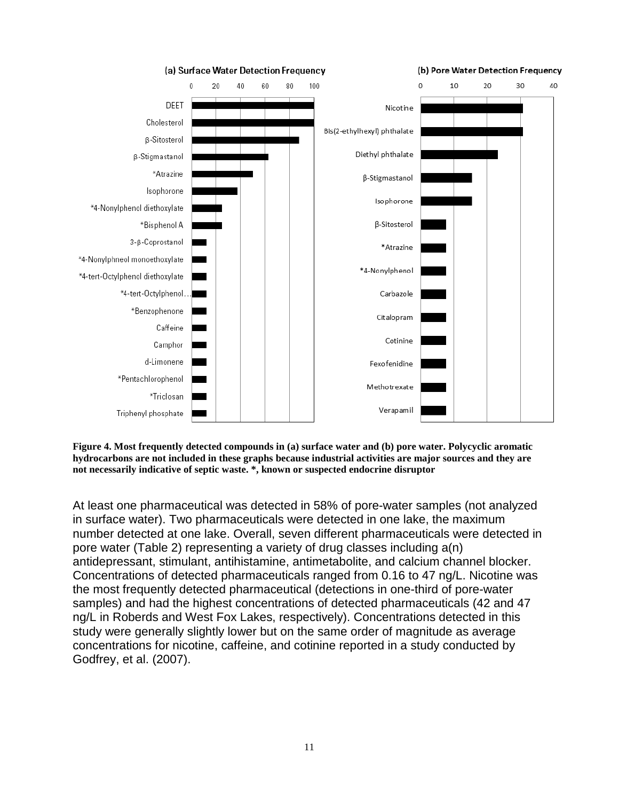

**Figure 4. Most frequently detected compounds in (a) surface water and (b) pore water. Polycyclic aromatic hydrocarbons are not included in these graphs because industrial activities are major sources and they are not necessarily indicative of septic waste. \*, known or suspected endocrine disruptor**

At least one pharmaceutical was detected in 58% of pore-water samples (not analyzed in surface water). Two pharmaceuticals were detected in one lake, the maximum number detected at one lake. Overall, seven different pharmaceuticals were detected in pore water (Table 2) representing a variety of drug classes including a(n) antidepressant, stimulant, antihistamine, antimetabolite, and calcium channel blocker. Concentrations of detected pharmaceuticals ranged from 0.16 to 47 ng/L. Nicotine was the most frequently detected pharmaceutical (detections in one-third of pore-water samples) and had the highest concentrations of detected pharmaceuticals (42 and 47 ng/L in Roberds and West Fox Lakes, respectively). Concentrations detected in this study were generally slightly lower but on the same order of magnitude as average concentrations for nicotine, caffeine, and cotinine reported in a study conducted by Godfrey, et al. (2007).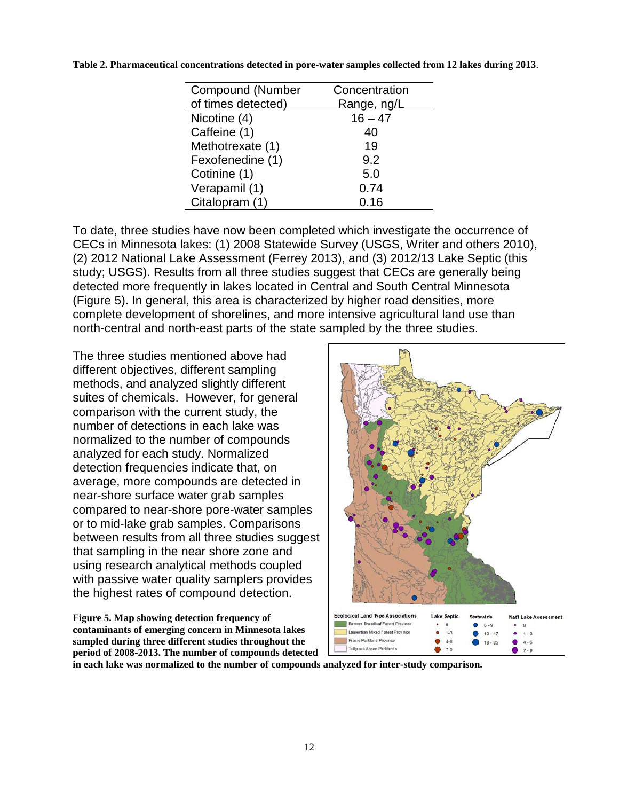| <b>Compound (Number</b> | Concentration |
|-------------------------|---------------|
| of times detected)      | Range, ng/L   |
| Nicotine (4)            | $16 - 47$     |
| Caffeine (1)            | 40            |
| Methotrexate (1)        | 19            |
| Fexofenedine (1)        | 9.2           |
| Cotinine (1)            | 5.0           |
| Verapamil (1)           | 0.74          |
| Citalopram (1)          | 0.16          |
|                         |               |

**Table 2. Pharmaceutical concentrations detected in pore-water samples collected from 12 lakes during 2013**.

To date, three studies have now been completed which investigate the occurrence of CECs in Minnesota lakes: (1) 2008 Statewide Survey (USGS, Writer and others 2010), (2) 2012 National Lake Assessment (Ferrey 2013), and (3) 2012/13 Lake Septic (this study; USGS). Results from all three studies suggest that CECs are generally being detected more frequently in lakes located in Central and South Central Minnesota (Figure 5). In general, this area is characterized by higher road densities, more complete development of shorelines, and more intensive agricultural land use than north-central and north-east parts of the state sampled by the three studies.

The three studies mentioned above had different objectives, different sampling methods, and analyzed slightly different suites of chemicals. However, for general comparison with the current study, the number of detections in each lake was normalized to the number of compounds analyzed for each study. Normalized detection frequencies indicate that, on average, more compounds are detected in near-shore surface water grab samples compared to near-shore pore-water samples or to mid-lake grab samples. Comparisons between results from all three studies suggest that sampling in the near shore zone and using research analytical methods coupled with passive water quality samplers provides the highest rates of compound detection.

**Figure 5. Map showing detection frequency of contaminants of emerging concern in Minnesota lakes sampled during three different studies throughout the period of 2008-2013. The number of compounds detected** 



**in each lake was normalized to the number of compounds analyzed for inter-study comparison.**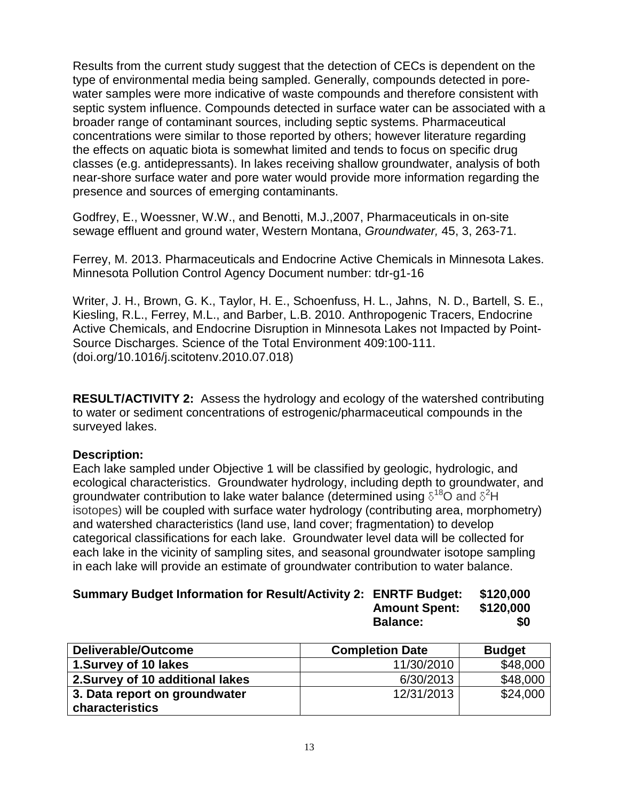Results from the current study suggest that the detection of CECs is dependent on the type of environmental media being sampled. Generally, compounds detected in porewater samples were more indicative of waste compounds and therefore consistent with septic system influence. Compounds detected in surface water can be associated with a broader range of contaminant sources, including septic systems. Pharmaceutical concentrations were similar to those reported by others; however literature regarding the effects on aquatic biota is somewhat limited and tends to focus on specific drug classes (e.g. antidepressants). In lakes receiving shallow groundwater, analysis of both near-shore surface water and pore water would provide more information regarding the presence and sources of emerging contaminants.

Godfrey, E., Woessner, W.W., and Benotti, M.J.,2007, Pharmaceuticals in on-site sewage effluent and ground water, Western Montana, *Groundwater,* 45, 3, 263-71.

Ferrey, M. 2013. Pharmaceuticals and Endocrine Active Chemicals in Minnesota Lakes. Minnesota Pollution Control Agency Document number: tdr-g1-16

Writer, J. H., Brown, G. K., Taylor, H. E., Schoenfuss, H. L., Jahns, N. D., Bartell, S. E., Kiesling, R.L., Ferrey, M.L., and Barber, L.B. 2010. Anthropogenic Tracers, Endocrine Active Chemicals, and Endocrine Disruption in Minnesota Lakes not Impacted by Point-Source Discharges. Science of the Total Environment 409:100-111. (doi.org/10.1016/j.scitotenv.2010.07.018)

**RESULT/ACTIVITY 2:** Assess the hydrology and ecology of the watershed contributing to water or sediment concentrations of estrogenic/pharmaceutical compounds in the surveyed lakes.

### **Description:**

Each lake sampled under Objective 1 will be classified by geologic, hydrologic, and ecological characteristics. Groundwater hydrology, including depth to groundwater, and groundwater contribution to lake water balance (determined using  $\delta^{18}$ O and  $\delta^2$ H isotopes) will be coupled with surface water hydrology (contributing area, morphometry) and watershed characteristics (land use, land cover; fragmentation) to develop categorical classifications for each lake. Groundwater level data will be collected for each lake in the vicinity of sampling sites, and seasonal groundwater isotope sampling in each lake will provide an estimate of groundwater contribution to water balance.

| Summary Budget Information for Result/Activity 2: ENRTF Budget: \$120,000 |                      |           |
|---------------------------------------------------------------------------|----------------------|-----------|
|                                                                           | <b>Amount Spent:</b> | \$120,000 |
|                                                                           | <b>Balance:</b>      | \$0       |

| Deliverable/Outcome              | <b>Completion Date</b> | <b>Budget</b> |
|----------------------------------|------------------------|---------------|
| 1. Survey of 10 lakes            | 11/30/2010             | \$48,000      |
| 2. Survey of 10 additional lakes | 6/30/2013              | \$48,000      |
| 3. Data report on groundwater    | 12/31/2013             | \$24,000      |
| characteristics                  |                        |               |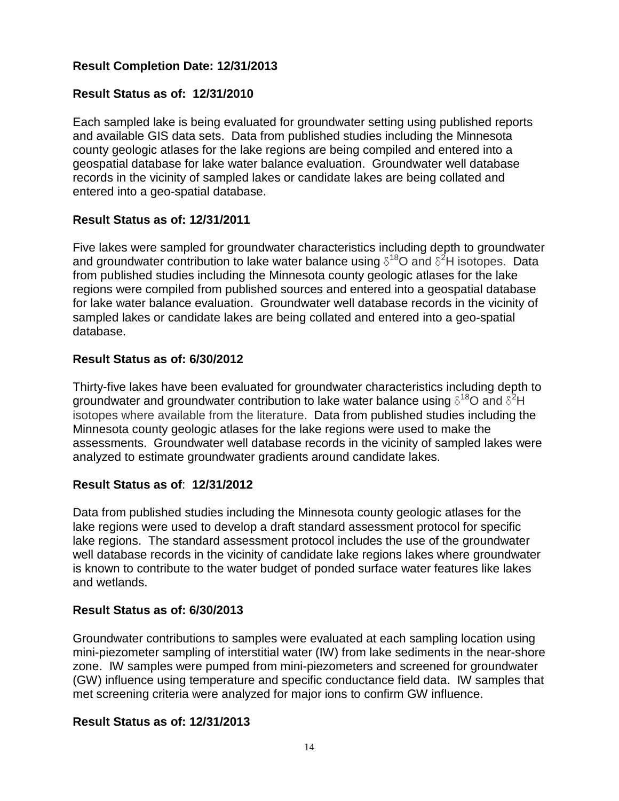## **Result Completion Date: 12/31/2013**

## **Result Status as of: 12/31/2010**

Each sampled lake is being evaluated for groundwater setting using published reports and available GIS data sets. Data from published studies including the Minnesota county geologic atlases for the lake regions are being compiled and entered into a geospatial database for lake water balance evaluation. Groundwater well database records in the vicinity of sampled lakes or candidate lakes are being collated and entered into a geo-spatial database.

### **Result Status as of: 12/31/2011**

Five lakes were sampled for groundwater characteristics including depth to groundwater and groundwater contribution to lake water balance using  $\delta^{18}$ O and  $\delta^2$ H isotopes. Data from published studies including the Minnesota county geologic atlases for the lake regions were compiled from published sources and entered into a geospatial database for lake water balance evaluation. Groundwater well database records in the vicinity of sampled lakes or candidate lakes are being collated and entered into a geo-spatial database.

### **Result Status as of: 6/30/2012**

Thirty-five lakes have been evaluated for groundwater characteristics including depth to groundwater and groundwater contribution to lake water balance using  $\delta^{18}$ O and  $\delta^{2}$ H isotopes where available from the literature. Data from published studies including the Minnesota county geologic atlases for the lake regions were used to make the assessments. Groundwater well database records in the vicinity of sampled lakes were analyzed to estimate groundwater gradients around candidate lakes.

### **Result Status as of**: **12/31/2012**

Data from published studies including the Minnesota county geologic atlases for the lake regions were used to develop a draft standard assessment protocol for specific lake regions. The standard assessment protocol includes the use of the groundwater well database records in the vicinity of candidate lake regions lakes where groundwater is known to contribute to the water budget of ponded surface water features like lakes and wetlands.

### **Result Status as of: 6/30/2013**

Groundwater contributions to samples were evaluated at each sampling location using mini-piezometer sampling of interstitial water (IW) from lake sediments in the near-shore zone. IW samples were pumped from mini-piezometers and screened for groundwater (GW) influence using temperature and specific conductance field data. IW samples that met screening criteria were analyzed for major ions to confirm GW influence.

### **Result Status as of: 12/31/2013**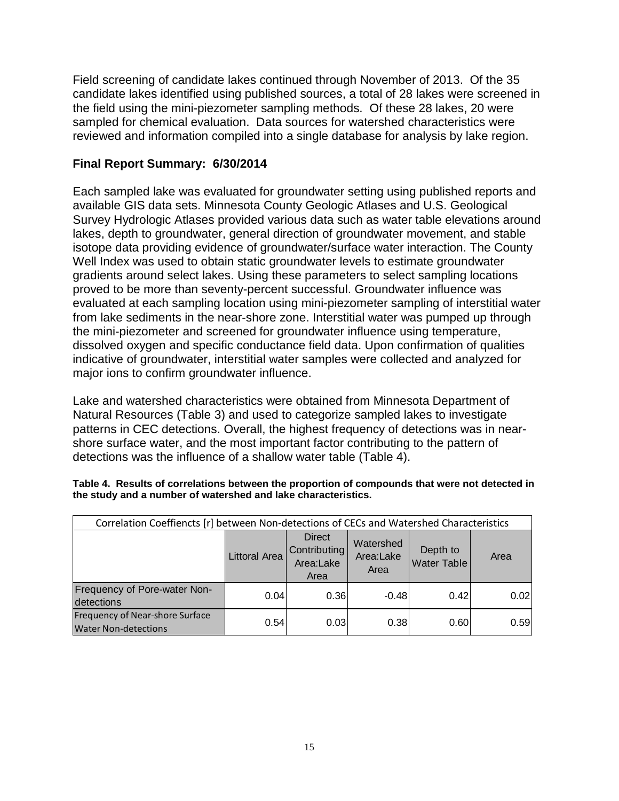Field screening of candidate lakes continued through November of 2013. Of the 35 candidate lakes identified using published sources, a total of 28 lakes were screened in the field using the mini-piezometer sampling methods. Of these 28 lakes, 20 were sampled for chemical evaluation. Data sources for watershed characteristics were reviewed and information compiled into a single database for analysis by lake region.

### **Final Report Summary: 6/30/2014**

Each sampled lake was evaluated for groundwater setting using published reports and available GIS data sets. Minnesota County Geologic Atlases and U.S. Geological Survey Hydrologic Atlases provided various data such as water table elevations around lakes, depth to groundwater, general direction of groundwater movement, and stable isotope data providing evidence of groundwater/surface water interaction. The County Well Index was used to obtain static groundwater levels to estimate groundwater gradients around select lakes. Using these parameters to select sampling locations proved to be more than seventy-percent successful. Groundwater influence was evaluated at each sampling location using mini-piezometer sampling of interstitial water from lake sediments in the near-shore zone. Interstitial water was pumped up through the mini-piezometer and screened for groundwater influence using temperature, dissolved oxygen and specific conductance field data. Upon confirmation of qualities indicative of groundwater, interstitial water samples were collected and analyzed for major ions to confirm groundwater influence.

Lake and watershed characteristics were obtained from Minnesota Department of Natural Resources (Table 3) and used to categorize sampled lakes to investigate patterns in CEC detections. Overall, the highest frequency of detections was in nearshore surface water, and the most important factor contributing to the pattern of detections was the influence of a shallow water table (Table 4).

| Correlation Coeffiencts [r] between Non-detections of CECs and Watershed Characteristics |                      |                                                           |                                |      |      |
|------------------------------------------------------------------------------------------|----------------------|-----------------------------------------------------------|--------------------------------|------|------|
|                                                                                          | <b>Littoral Area</b> | <b>Direct</b><br><b>Contributing</b><br>Area:Lake<br>Area | Depth to<br><b>Water Table</b> | Area |      |
| Frequency of Pore-water Non-<br>detections                                               | 0.04                 | 0.36                                                      | $-0.48$                        | 0.42 | 0.02 |
| Frequency of Near-shore Surface<br><b>Water Non-detections</b>                           | 0.54                 | 0.03                                                      | 0.38                           | 0.60 | 0.59 |

#### **Table 4. Results of correlations between the proportion of compounds that were not detected in the study and a number of watershed and lake characteristics.**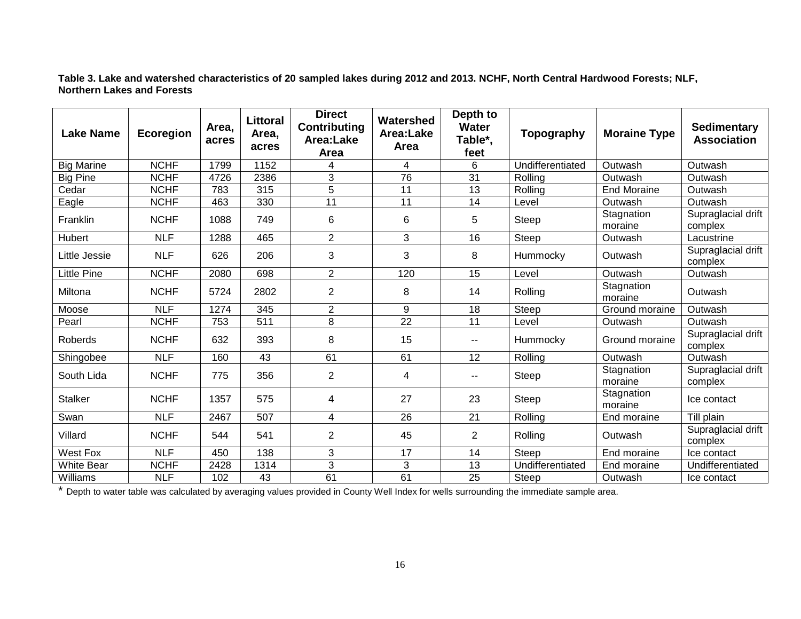**Table 3. Lake and watershed characteristics of 20 sampled lakes during 2012 and 2013. NCHF, North Central Hardwood Forests; NLF, Northern Lakes and Forests**

| <b>Lake Name</b>  | Ecoregion   | Area,<br>acres | <b>Littoral</b><br>Area,<br>acres | <b>Direct</b><br><b>Contributing</b><br>Area:Lake<br>Area | Watershed<br>Area:Lake<br><b>Area</b> | Depth to<br><b>Water</b><br>Table*,<br>feet | Topography       | <b>Moraine Type</b>   | <b>Sedimentary</b><br><b>Association</b> |
|-------------------|-------------|----------------|-----------------------------------|-----------------------------------------------------------|---------------------------------------|---------------------------------------------|------------------|-----------------------|------------------------------------------|
| <b>Big Marine</b> | <b>NCHF</b> | 1799           | 1152                              | 4                                                         | 4                                     | 6                                           | Undifferentiated | Outwash               | Outwash                                  |
| <b>Big Pine</b>   | <b>NCHF</b> | 4726           | 2386                              | 3                                                         | 76                                    | 31                                          | Rolling          | Outwash               | Outwash                                  |
| Cedar             | <b>NCHF</b> | 783            | 315                               | $\overline{5}$                                            | 11                                    | 13                                          | Rolling          | <b>End Moraine</b>    | Outwash                                  |
| Eagle             | <b>NCHF</b> | 463            | 330                               | $\overline{11}$                                           | $\overline{11}$                       | 14                                          | Level            | Outwash               | Outwash                                  |
| Franklin          | <b>NCHF</b> | 1088           | 749                               | 6                                                         | 6                                     | 5                                           | Steep            | Stagnation<br>moraine | Supraglacial drift<br>complex            |
| Hubert            | <b>NLF</b>  | 1288           | 465                               | $\overline{2}$                                            | 3                                     | 16                                          | Steep            | Outwash               | Lacustrine                               |
| Little Jessie     | <b>NLF</b>  | 626            | 206                               | 3                                                         | 3                                     | 8                                           | Hummocky         | Outwash               | Supraglacial drift<br>complex            |
| Little Pine       | <b>NCHF</b> | 2080           | 698                               | $\overline{2}$                                            | 120                                   | 15                                          | Level            | Outwash               | Outwash                                  |
| Miltona           | <b>NCHF</b> | 5724           | 2802                              | $\overline{2}$                                            | 8                                     | 14                                          | Rolling          | Stagnation<br>moraine | Outwash                                  |
| Moose             | <b>NLF</b>  | 1274           | 345                               | $\overline{2}$                                            | 9                                     | 18                                          | Steep            | Ground moraine        | Outwash                                  |
| Pearl             | <b>NCHF</b> | 753            | 511                               | 8                                                         | $\overline{22}$                       | 11                                          | Level            | Outwash               | Outwash                                  |
| Roberds           | <b>NCHF</b> | 632            | 393                               | 8                                                         | 15                                    | --                                          | Hummocky         | Ground moraine        | Supraglacial drift<br>complex            |
| Shingobee         | <b>NLF</b>  | 160            | 43                                | 61                                                        | 61                                    | 12                                          | Rolling          | Outwash               | Outwash                                  |
| South Lida        | <b>NCHF</b> | 775            | 356                               | $\overline{2}$                                            | 4                                     | --                                          | Steep            | Stagnation<br>moraine | Supraglacial drift<br>complex            |
| <b>Stalker</b>    | <b>NCHF</b> | 1357           | 575                               | 4                                                         | 27                                    | 23                                          | Steep            | Stagnation<br>moraine | Ice contact                              |
| Swan              | <b>NLF</b>  | 2467           | 507                               | 4                                                         | $\overline{26}$                       | 21                                          | Rolling          | End moraine           | Till plain                               |
| Villard           | <b>NCHF</b> | 544            | 541                               | $\overline{2}$                                            | 45                                    | $\overline{2}$                              | Rolling          | Outwash               | Supraglacial drift<br>complex            |
| <b>West Fox</b>   | <b>NLF</b>  | 450            | 138                               | 3                                                         | $\overline{17}$                       | $\overline{14}$                             | Steep            | End moraine           | Ice contact                              |
| <b>White Bear</b> | <b>NCHF</b> | 2428           | 1314                              | 3                                                         | 3                                     | 13                                          | Undifferentiated | End moraine           | Undifferentiated                         |
| Williams          | <b>NLF</b>  | 102            | 43                                | 61                                                        | 61                                    | $\overline{25}$                             | Steep            | Outwash               | Ice contact                              |

\* Depth to water table was calculated by averaging values provided in County Well Index for wells surrounding the immediate sample area.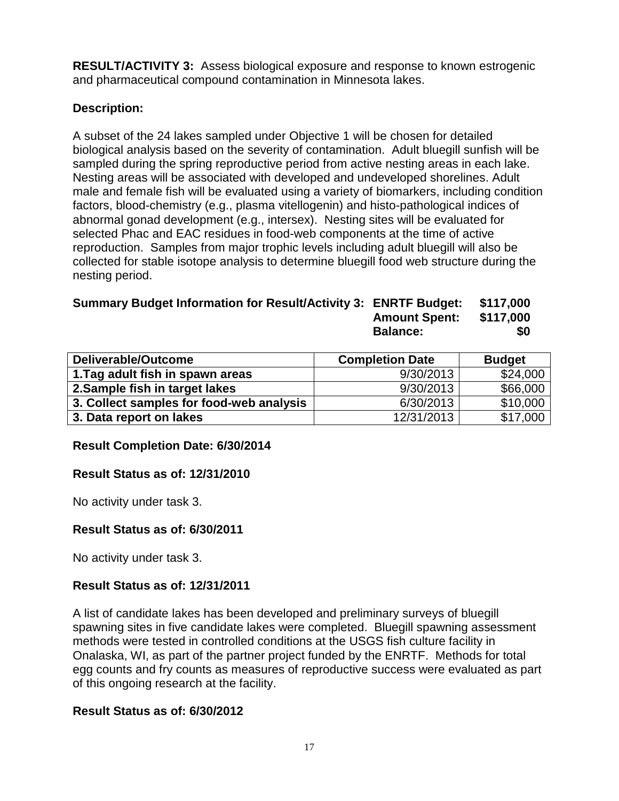**RESULT/ACTIVITY 3:** Assess biological exposure and response to known estrogenic and pharmaceutical compound contamination in Minnesota lakes.

## **Description:**

A subset of the 24 lakes sampled under Objective 1 will be chosen for detailed biological analysis based on the severity of contamination. Adult bluegill sunfish will be sampled during the spring reproductive period from active nesting areas in each lake. Nesting areas will be associated with developed and undeveloped shorelines. Adult male and female fish will be evaluated using a variety of biomarkers, including condition factors, blood-chemistry (e.g., plasma vitellogenin) and histo-pathological indices of abnormal gonad development (e.g., intersex). Nesting sites will be evaluated for selected Phac and EAC residues in food-web components at the time of active reproduction. Samples from major trophic levels including adult bluegill will also be collected for stable isotope analysis to determine bluegill food web structure during the nesting period.

| Summary Budget Information for Result/Activity 3: ENRTF Budget: \$117,000 |                                                                                      |  |
|---------------------------------------------------------------------------|--------------------------------------------------------------------------------------|--|
|                                                                           | $A_{\text{max}}$ $A_{\text{max}}$ $A_{\text{max}}$ $A_{\text{max}}$ $A_{\text{max}}$ |  |

| <b>Amount Spent:</b> | \$117,000 |
|----------------------|-----------|
| <b>Balance:</b>      | \$0       |

| Deliverable/Outcome                      | <b>Completion Date</b> | <b>Budget</b> |
|------------------------------------------|------------------------|---------------|
| 1. Tag adult fish in spawn areas         | 9/30/2013              | \$24,000      |
| 2. Sample fish in target lakes           | 9/30/2013              | \$66,000      |
| 3. Collect samples for food-web analysis | 6/30/2013              | \$10,000      |
| 3. Data report on lakes                  | 12/31/2013             | \$17,000      |

### **Result Completion Date: 6/30/2014**

### **Result Status as of: 12/31/2010**

No activity under task 3.

### **Result Status as of: 6/30/2011**

No activity under task 3.

### **Result Status as of: 12/31/2011**

A list of candidate lakes has been developed and preliminary surveys of bluegill spawning sites in five candidate lakes were completed. Bluegill spawning assessment methods were tested in controlled conditions at the USGS fish culture facility in Onalaska, WI, as part of the partner project funded by the ENRTF. Methods for total egg counts and fry counts as measures of reproductive success were evaluated as part of this ongoing research at the facility.

### **Result Status as of: 6/30/2012**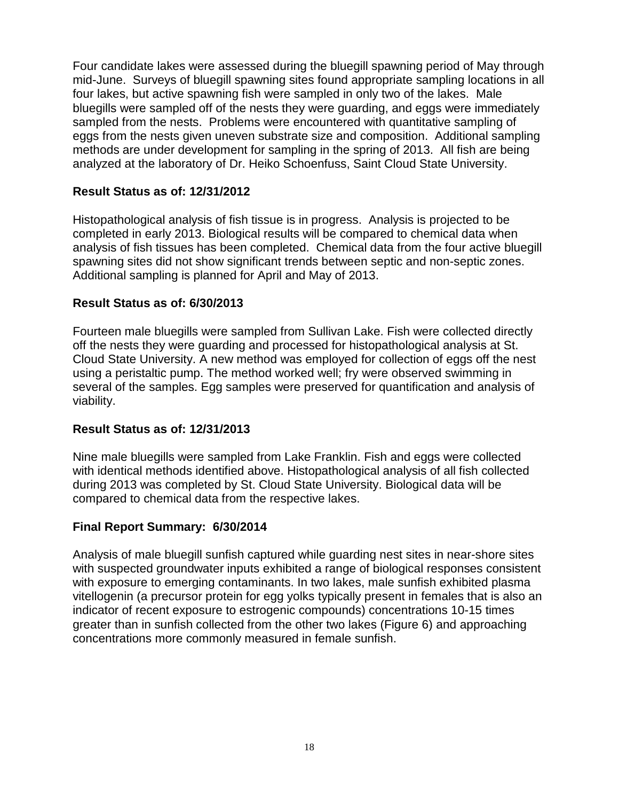Four candidate lakes were assessed during the bluegill spawning period of May through mid-June. Surveys of bluegill spawning sites found appropriate sampling locations in all four lakes, but active spawning fish were sampled in only two of the lakes. Male bluegills were sampled off of the nests they were guarding, and eggs were immediately sampled from the nests. Problems were encountered with quantitative sampling of eggs from the nests given uneven substrate size and composition. Additional sampling methods are under development for sampling in the spring of 2013. All fish are being analyzed at the laboratory of Dr. Heiko Schoenfuss, Saint Cloud State University.

### **Result Status as of: 12/31/2012**

Histopathological analysis of fish tissue is in progress. Analysis is projected to be completed in early 2013. Biological results will be compared to chemical data when analysis of fish tissues has been completed. Chemical data from the four active bluegill spawning sites did not show significant trends between septic and non-septic zones. Additional sampling is planned for April and May of 2013.

### **Result Status as of: 6/30/2013**

Fourteen male bluegills were sampled from Sullivan Lake. Fish were collected directly off the nests they were guarding and processed for histopathological analysis at St. Cloud State University. A new method was employed for collection of eggs off the nest using a peristaltic pump. The method worked well; fry were observed swimming in several of the samples. Egg samples were preserved for quantification and analysis of viability.

### **Result Status as of: 12/31/2013**

Nine male bluegills were sampled from Lake Franklin. Fish and eggs were collected with identical methods identified above. Histopathological analysis of all fish collected during 2013 was completed by St. Cloud State University. Biological data will be compared to chemical data from the respective lakes.

### **Final Report Summary: 6/30/2014**

Analysis of male bluegill sunfish captured while guarding nest sites in near-shore sites with suspected groundwater inputs exhibited a range of biological responses consistent with exposure to emerging contaminants. In two lakes, male sunfish exhibited plasma vitellogenin (a precursor protein for egg yolks typically present in females that is also an indicator of recent exposure to estrogenic compounds) concentrations 10-15 times greater than in sunfish collected from the other two lakes (Figure 6) and approaching concentrations more commonly measured in female sunfish.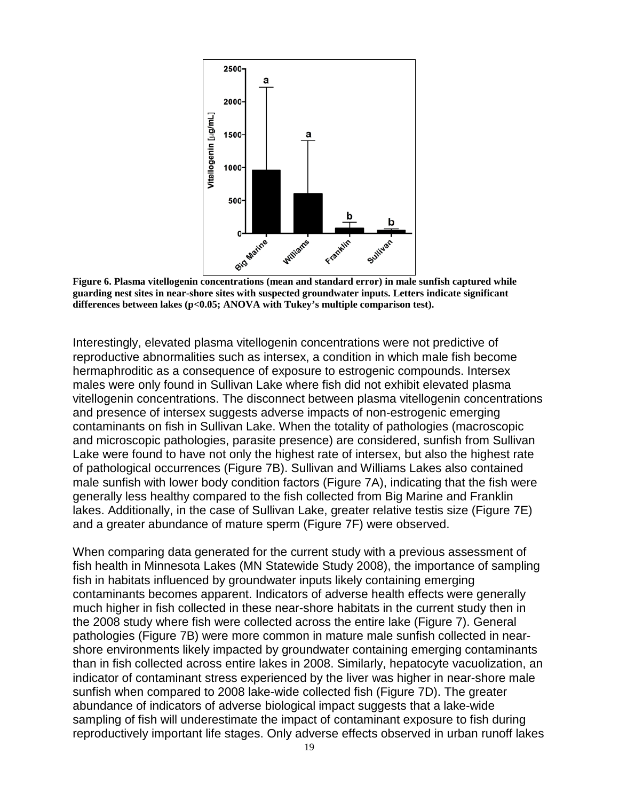

**Figure 6. Plasma vitellogenin concentrations (mean and standard error) in male sunfish captured while guarding nest sites in near-shore sites with suspected groundwater inputs. Letters indicate significant differences between lakes (p<0.05; ANOVA with Tukey's multiple comparison test).**

Interestingly, elevated plasma vitellogenin concentrations were not predictive of reproductive abnormalities such as intersex, a condition in which male fish become hermaphroditic as a consequence of exposure to estrogenic compounds. Intersex males were only found in Sullivan Lake where fish did not exhibit elevated plasma vitellogenin concentrations. The disconnect between plasma vitellogenin concentrations and presence of intersex suggests adverse impacts of non-estrogenic emerging contaminants on fish in Sullivan Lake. When the totality of pathologies (macroscopic and microscopic pathologies, parasite presence) are considered, sunfish from Sullivan Lake were found to have not only the highest rate of intersex, but also the highest rate of pathological occurrences (Figure 7B). Sullivan and Williams Lakes also contained male sunfish with lower body condition factors (Figure 7A), indicating that the fish were generally less healthy compared to the fish collected from Big Marine and Franklin lakes. Additionally, in the case of Sullivan Lake, greater relative testis size (Figure 7E) and a greater abundance of mature sperm (Figure 7F) were observed.

When comparing data generated for the current study with a previous assessment of fish health in Minnesota Lakes (MN Statewide Study 2008), the importance of sampling fish in habitats influenced by groundwater inputs likely containing emerging contaminants becomes apparent. Indicators of adverse health effects were generally much higher in fish collected in these near-shore habitats in the current study then in the 2008 study where fish were collected across the entire lake (Figure 7). General pathologies (Figure 7B) were more common in mature male sunfish collected in nearshore environments likely impacted by groundwater containing emerging contaminants than in fish collected across entire lakes in 2008. Similarly, hepatocyte vacuolization, an indicator of contaminant stress experienced by the liver was higher in near-shore male sunfish when compared to 2008 lake-wide collected fish (Figure 7D). The greater abundance of indicators of adverse biological impact suggests that a lake-wide sampling of fish will underestimate the impact of contaminant exposure to fish during reproductively important life stages. Only adverse effects observed in urban runoff lakes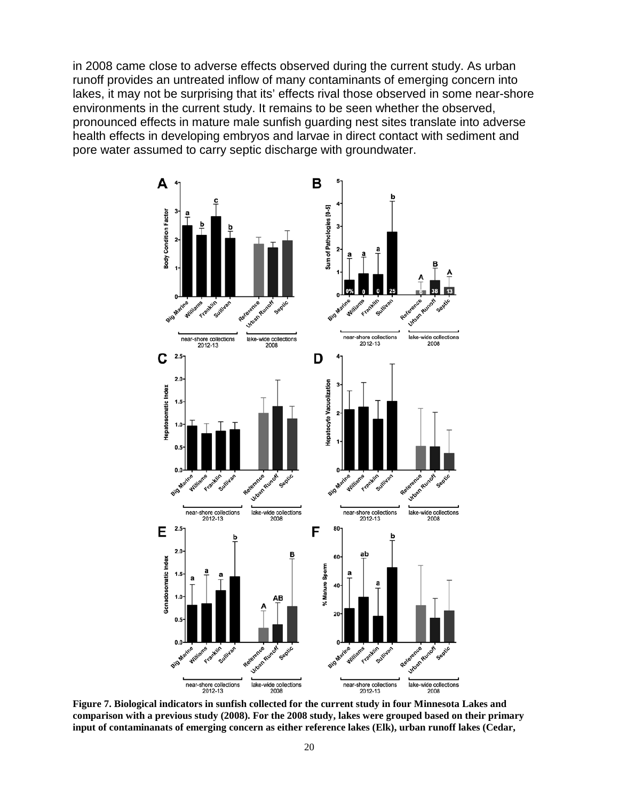in 2008 came close to adverse effects observed during the current study. As urban runoff provides an untreated inflow of many contaminants of emerging concern into lakes, it may not be surprising that its' effects rival those observed in some near-shore environments in the current study. It remains to be seen whether the observed, pronounced effects in mature male sunfish guarding nest sites translate into adverse health effects in developing embryos and larvae in direct contact with sediment and pore water assumed to carry septic discharge with groundwater.



**Figure 7. Biological indicators in sunfish collected for the current study in four Minnesota Lakes and comparison with a previous study (2008). For the 2008 study, lakes were grouped based on their primary input of contaminanats of emerging concern as either reference lakes (Elk), urban runoff lakes (Cedar,**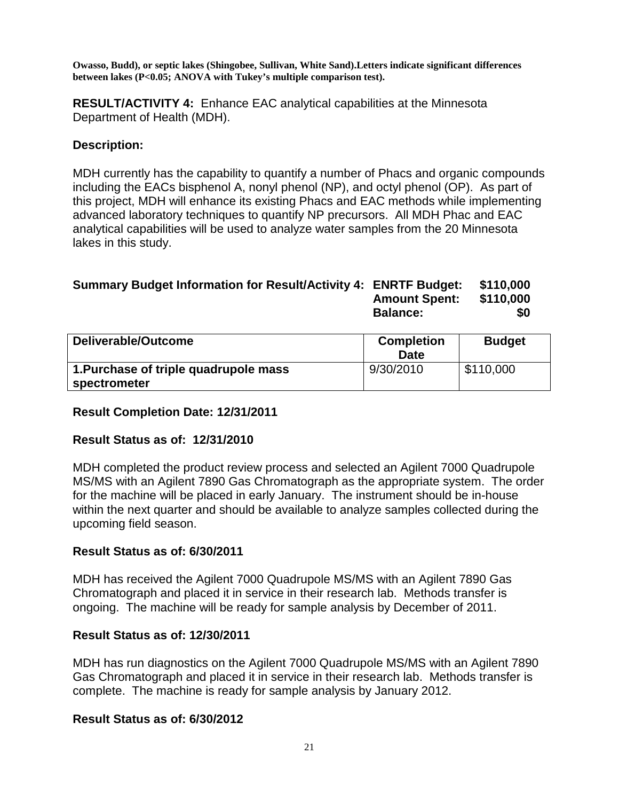**Owasso, Budd), or septic lakes (Shingobee, Sullivan, White Sand).Letters indicate significant differences between lakes (P<0.05; ANOVA with Tukey's multiple comparison test).** 

**RESULT/ACTIVITY 4:** Enhance EAC analytical capabilities at the Minnesota Department of Health (MDH).

### **Description:**

MDH currently has the capability to quantify a number of Phacs and organic compounds including the EACs bisphenol A, nonyl phenol (NP), and octyl phenol (OP). As part of this project, MDH will enhance its existing Phacs and EAC methods while implementing advanced laboratory techniques to quantify NP precursors. All MDH Phac and EAC analytical capabilities will be used to analyze water samples from the 20 Minnesota lakes in this study.

#### **Summary Budget Information for Result/Activity 4: ENRTF Budget: \$110,000 Amount Spent: \$110,000 Balance:** \$0

| Deliverable/Outcome                   | <b>Completion</b><br><b>Date</b> | <b>Budget</b> |  |  |
|---------------------------------------|----------------------------------|---------------|--|--|
| 1. Purchase of triple quadrupole mass | 9/30/2010                        | \$110,000     |  |  |
| spectrometer                          |                                  |               |  |  |

### **Result Completion Date: 12/31/2011**

### **Result Status as of: 12/31/2010**

MDH completed the product review process and selected an Agilent 7000 Quadrupole MS/MS with an Agilent 7890 Gas Chromatograph as the appropriate system. The order for the machine will be placed in early January. The instrument should be in-house within the next quarter and should be available to analyze samples collected during the upcoming field season.

### **Result Status as of: 6/30/2011**

MDH has received the Agilent 7000 Quadrupole MS/MS with an Agilent 7890 Gas Chromatograph and placed it in service in their research lab. Methods transfer is ongoing. The machine will be ready for sample analysis by December of 2011.

#### **Result Status as of: 12/30/2011**

MDH has run diagnostics on the Agilent 7000 Quadrupole MS/MS with an Agilent 7890 Gas Chromatograph and placed it in service in their research lab. Methods transfer is complete. The machine is ready for sample analysis by January 2012.

#### **Result Status as of: 6/30/2012**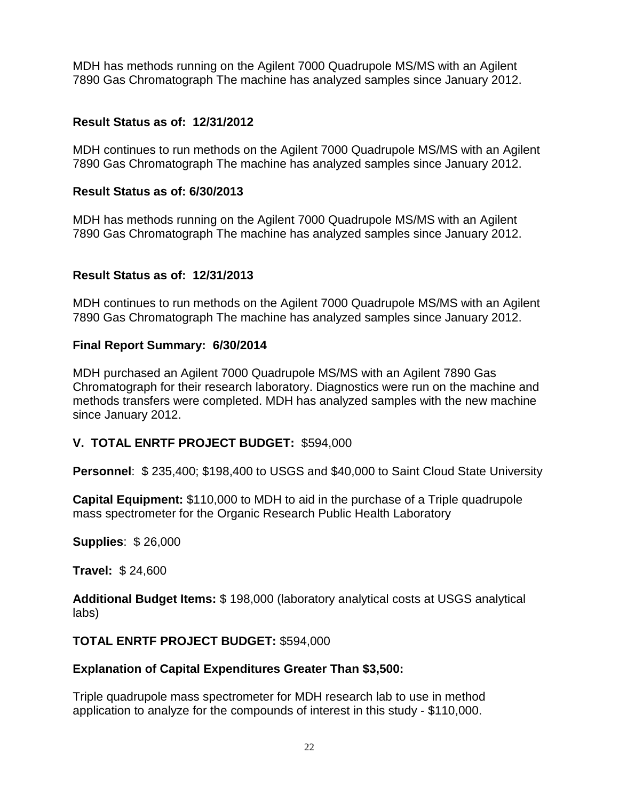MDH has methods running on the Agilent 7000 Quadrupole MS/MS with an Agilent 7890 Gas Chromatograph The machine has analyzed samples since January 2012.

### **Result Status as of: 12/31/2012**

MDH continues to run methods on the Agilent 7000 Quadrupole MS/MS with an Agilent 7890 Gas Chromatograph The machine has analyzed samples since January 2012.

### **Result Status as of: 6/30/2013**

MDH has methods running on the Agilent 7000 Quadrupole MS/MS with an Agilent 7890 Gas Chromatograph The machine has analyzed samples since January 2012.

### **Result Status as of: 12/31/2013**

MDH continues to run methods on the Agilent 7000 Quadrupole MS/MS with an Agilent 7890 Gas Chromatograph The machine has analyzed samples since January 2012.

### **Final Report Summary: 6/30/2014**

MDH purchased an Agilent 7000 Quadrupole MS/MS with an Agilent 7890 Gas Chromatograph for their research laboratory. Diagnostics were run on the machine and methods transfers were completed. MDH has analyzed samples with the new machine since January 2012.

## **V. TOTAL ENRTF PROJECT BUDGET:** \$594,000

**Personnel**: \$ 235,400; \$198,400 to USGS and \$40,000 to Saint Cloud State University

**Capital Equipment:** \$110,000 to MDH to aid in the purchase of a Triple quadrupole mass spectrometer for the Organic Research Public Health Laboratory

**Supplies**: \$ 26,000

**Travel:** \$ 24,600

**Additional Budget Items:** \$ 198,000 (laboratory analytical costs at USGS analytical labs)

### **TOTAL ENRTF PROJECT BUDGET:** \$594,000

### **Explanation of Capital Expenditures Greater Than \$3,500:**

Triple quadrupole mass spectrometer for MDH research lab to use in method application to analyze for the compounds of interest in this study - \$110,000.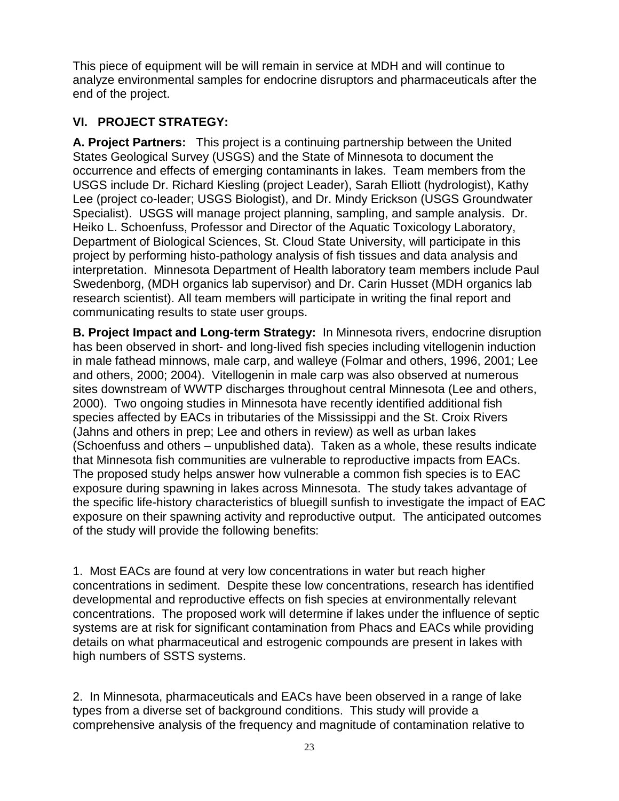This piece of equipment will be will remain in service at MDH and will continue to analyze environmental samples for endocrine disruptors and pharmaceuticals after the end of the project.

# **VI. PROJECT STRATEGY:**

**A. Project Partners:** This project is a continuing partnership between the United States Geological Survey (USGS) and the State of Minnesota to document the occurrence and effects of emerging contaminants in lakes. Team members from the USGS include Dr. Richard Kiesling (project Leader), Sarah Elliott (hydrologist), Kathy Lee (project co-leader; USGS Biologist), and Dr. Mindy Erickson (USGS Groundwater Specialist). USGS will manage project planning, sampling, and sample analysis. Dr. Heiko L. Schoenfuss, Professor and Director of the Aquatic Toxicology Laboratory, Department of Biological Sciences, St. Cloud State University, will participate in this project by performing histo-pathology analysis of fish tissues and data analysis and interpretation. Minnesota Department of Health laboratory team members include Paul Swedenborg, (MDH organics lab supervisor) and Dr. Carin Husset (MDH organics lab research scientist). All team members will participate in writing the final report and communicating results to state user groups.

**B. Project Impact and Long-term Strategy:** In Minnesota rivers, endocrine disruption has been observed in short- and long-lived fish species including vitellogenin induction in male fathead minnows, male carp, and walleye (Folmar and others, 1996, 2001; Lee and others, 2000; 2004). Vitellogenin in male carp was also observed at numerous sites downstream of WWTP discharges throughout central Minnesota (Lee and others, 2000). Two ongoing studies in Minnesota have recently identified additional fish species affected by EACs in tributaries of the Mississippi and the St. Croix Rivers (Jahns and others in prep; Lee and others in review) as well as urban lakes (Schoenfuss and others – unpublished data). Taken as a whole, these results indicate that Minnesota fish communities are vulnerable to reproductive impacts from EACs. The proposed study helps answer how vulnerable a common fish species is to EAC exposure during spawning in lakes across Minnesota. The study takes advantage of the specific life-history characteristics of bluegill sunfish to investigate the impact of EAC exposure on their spawning activity and reproductive output. The anticipated outcomes of the study will provide the following benefits:

1. Most EACs are found at very low concentrations in water but reach higher concentrations in sediment. Despite these low concentrations, research has identified developmental and reproductive effects on fish species at environmentally relevant concentrations. The proposed work will determine if lakes under the influence of septic systems are at risk for significant contamination from Phacs and EACs while providing details on what pharmaceutical and estrogenic compounds are present in lakes with high numbers of SSTS systems.

2. In Minnesota, pharmaceuticals and EACs have been observed in a range of lake types from a diverse set of background conditions. This study will provide a comprehensive analysis of the frequency and magnitude of contamination relative to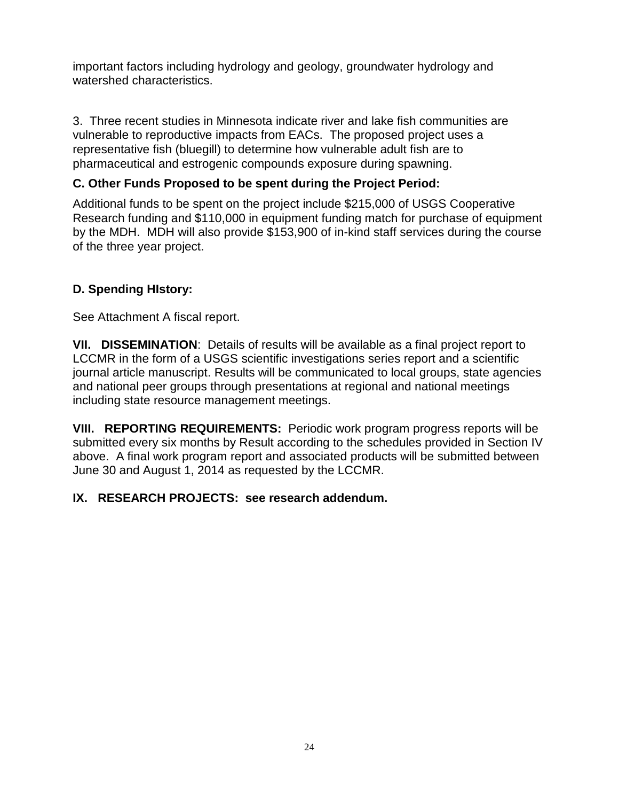important factors including hydrology and geology, groundwater hydrology and watershed characteristics.

3. Three recent studies in Minnesota indicate river and lake fish communities are vulnerable to reproductive impacts from EACs. The proposed project uses a representative fish (bluegill) to determine how vulnerable adult fish are to pharmaceutical and estrogenic compounds exposure during spawning.

# **C. Other Funds Proposed to be spent during the Project Period:**

Additional funds to be spent on the project include \$215,000 of USGS Cooperative Research funding and \$110,000 in equipment funding match for purchase of equipment by the MDH. MDH will also provide \$153,900 of in-kind staff services during the course of the three year project.

# **D. Spending HIstory:**

See Attachment A fiscal report.

**VII. DISSEMINATION**: Details of results will be available as a final project report to LCCMR in the form of a USGS scientific investigations series report and a scientific journal article manuscript. Results will be communicated to local groups, state agencies and national peer groups through presentations at regional and national meetings including state resource management meetings.

**VIII. REPORTING REQUIREMENTS:** Periodic work program progress reports will be submitted every six months by Result according to the schedules provided in Section IV above. A final work program report and associated products will be submitted between June 30 and August 1, 2014 as requested by the LCCMR.

## **IX. RESEARCH PROJECTS: see research addendum.**